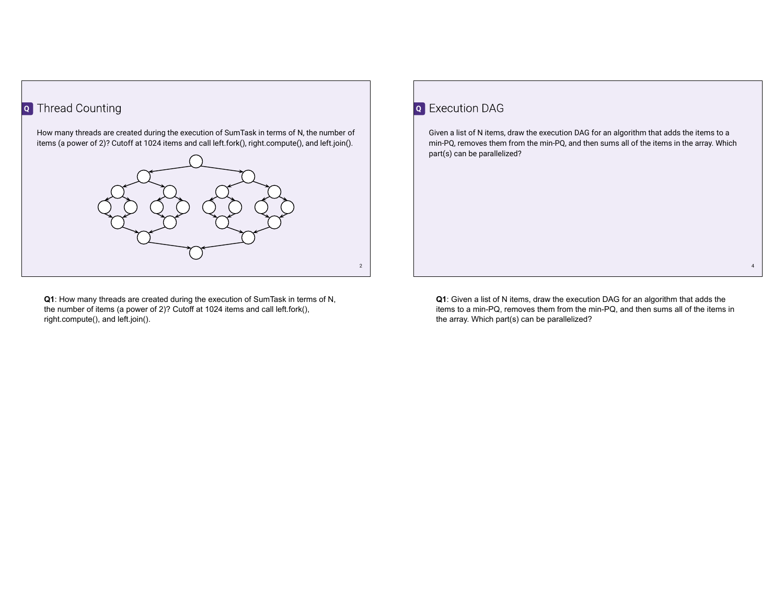## **Q** Thread Counting

How many threads are created during the execution of SumTask in terms of N, the number of items (a power of 2)? Cutoff at 1024 items and call left.fork(), right.compute(), and left.join().



**Q1**: How many threads are created during the execution of SumTask in terms of N, the number of items (a power of 2)? Cutoff at 1024 items and call left.fork(), right.compute(), and left.join().

## **Q** Execution DAG

Given a list of N items, draw the execution DAG for an algorithm that adds the items to a min-PQ, removes them from the min-PQ, and then sums all of the items in the array. Which part(s) can be parallelized?

**Q1**: Given a list of N items, draw the execution DAG for an algorithm that adds the items to a min-PQ, removes them from the min-PQ, and then sums all of the items in the array. Which part(s) can be parallelized?

4